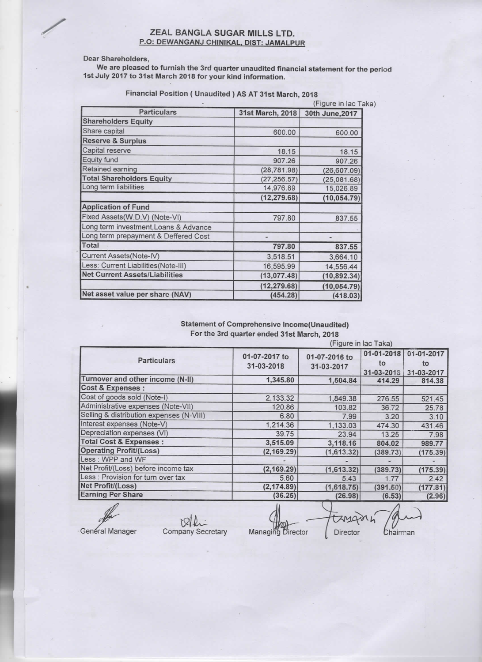# XEAL BANGLA SUGAR MILLS LTD.<br>P.O: DEWANGANJ CHINIKAL, DIST: JAMALP P.O: DEWANGANJ CHINIKAL, DIST: JAMALPUR

## Dear Shareholders,

We are pleased to furnish the 3rd quarter unaudited financial statement for the period lst July 2017 to 31st March 2018 for your kind information.

| <b>Particulars</b>                    | 31st March, 2018 | 30th June, 2017 |  |
|---------------------------------------|------------------|-----------------|--|
| <b>Shareholders Equity</b>            |                  |                 |  |
| Share capital                         | 600.00           | 600.00          |  |
| <b>Reserve &amp; Surplus</b>          |                  |                 |  |
| Capital reserve                       | 18.15            | 18.15           |  |
| Equity fund                           | 907.26           | 907.26          |  |
| Retained earning                      | (28, 781.98)     | (26, 607.09)    |  |
| <b>Total Shareholders Equity</b>      | (27, 256.57)     | (25,081.68)     |  |
| Long term liabilities                 | 14,976.89        | 15,026.89       |  |
|                                       | (12, 279.68)     | (10, 054.79)    |  |
| <b>Application of Fund</b>            |                  |                 |  |
| Fixed Assets(W.D.V) (Note-VI)         | 797.80           | 837.55          |  |
| Long term investment, Loans & Advance |                  |                 |  |
| Long term prepayment & Deffered Cost  |                  |                 |  |
| <b>Total</b>                          | 797.80           | 837.55          |  |
| Current Assets(Note-IV)               | 3,518.51         | 3,664.10        |  |
| Less: Current Liabilities(Note-III)   | 16,595.99        | 14,556.44       |  |
| <b>Net Current Assets/Liabilities</b> | (13,077.48)      | (10, 892.34)    |  |
|                                       | (12, 279.68)     | (10, 054.79)    |  |
| Net asset value per share (NAV)       | (454.28)         | (418.03)        |  |

Financial Position ( Unaudited ) AS AT 31st March, 2018

# Statement of Comprehensive Income(Unaudited) For the 3rd quarter ended 31st March, 2018

|                                          | (Figure in lac Taka)        |                             |                                |                                |  |  |
|------------------------------------------|-----------------------------|-----------------------------|--------------------------------|--------------------------------|--|--|
| <b>Particulars</b>                       | 01-07-2017 to<br>31-03-2018 | 01-07-2016 to<br>31-03-2017 | 01-01-2018<br>to<br>31-03-2018 | 01-01-2017<br>to<br>31-03-2017 |  |  |
| Turnover and other income (N-II)         | 1,345.80                    | 1,504.84                    | 414.29                         | 814.38                         |  |  |
| <b>Cost &amp; Expenses:</b>              |                             |                             |                                |                                |  |  |
| Cost of goods sold (Note-I)              | 2,133.32                    | 1,849.38                    | 276.55                         | 521.45                         |  |  |
| Administrative expenses (Note-VII)       | 120.86                      | 103.82                      | 36.72                          | 25.78                          |  |  |
| Selling & distribution expenses (N-VIII) | 6.80                        | 7.99                        | 3.20                           | 3.10                           |  |  |
| Interest expenses (Note-V)               | 1,214.36                    | 1,133.03                    | 474.30                         | 431.46                         |  |  |
| Depreciation expenses (VI)               | 39.75                       | 23.94                       | 13.25                          | 7.98                           |  |  |
| <b>Total Cost &amp; Expenses:</b>        | 3,515.09                    | 3,118.16                    | 804.02                         | 989.77                         |  |  |
| <b>Operating Profit/(Loss)</b>           | (2, 169.29)                 | (1,613.32)                  | (389.73)                       | (175.39)                       |  |  |
| Less: WPP and WF                         |                             |                             |                                |                                |  |  |
| Net Profit/(Loss) before income tax      | (2, 169.29)                 | (1,613.32)                  | (389.73)                       | (175.39)                       |  |  |
| Less : Provision for turn over tax       | 5.60                        | 5.43                        | 1.77                           | 2.42                           |  |  |
| Net Profit/(Loss)                        | (2, 174.89)                 | (1,618.75)                  | (391.50)                       | (177.81)                       |  |  |
| <b>Earning Per Share</b>                 | (36.25)                     | (26.98)                     | (6.53)                         | (2.96)                         |  |  |

General Manager Company Secretary Managing Director Director Chairman